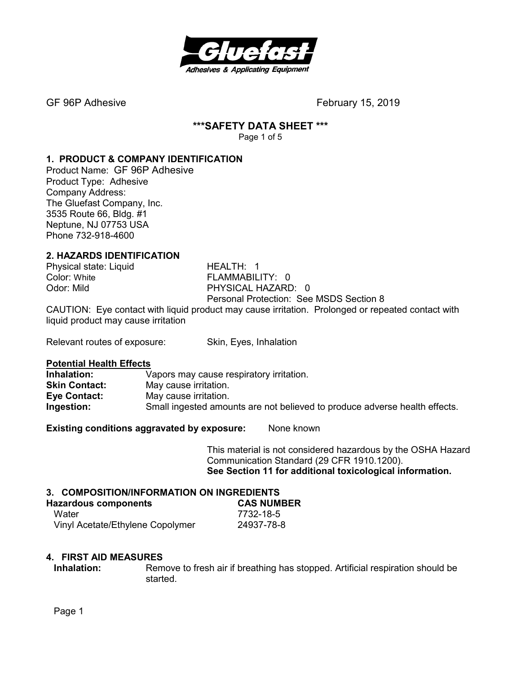

#### **\*\*\*SAFETY DATA SHEET \*\*\***  Page 1 of 5

# **1. PRODUCT & COMPANY IDENTIFICATION**

Product Name: GF 96P Adhesive Product Type: Adhesive Company Address: The Gluefast Company, Inc. 3535 Route 66, Bldg. #1 Neptune, NJ 07753 USA Phone 732-918-4600

# **2. HAZARDS IDENTIFICATION**

Physical state: Liquid HEALTH: 1

Color: White **FLAMMABILITY: 0** Odor: Mild PHYSICAL HAZARD: 0 Personal Protection: See MSDS Section 8

CAUTION: Eye contact with liquid product may cause irritation. Prolonged or repeated contact with liquid product may cause irritation

Relevant routes of exposure: Skin, Eyes, Inhalation

# **Potential Health Effects**

Vapors may cause respiratory irritation. **Skin Contact:** May cause irritation. **Eye Contact:** May cause irritation. **Ingestion:** Small ingested amounts are not believed to produce adverse health effects.

**Existing conditions aggravated by exposure:** None known

This material is not considered hazardous by the OSHA Hazard Communication Standard (29 CFR 1910.1200). **See Section 11 for additional toxicological information.** 

# **3. COMPOSITION/INFORMATION ON INGREDIENTS**

| <b>Hazardous components</b>      | <b>CAS NUMBER</b> |
|----------------------------------|-------------------|
| Water                            | 7732-18-5         |
| Vinyl Acetate/Ethylene Copolymer | 24937-78-8        |

# **4. FIRST AID MEASURES**

**Inhalation:** Remove to fresh air if breathing has stopped. Artificial respiration should be started.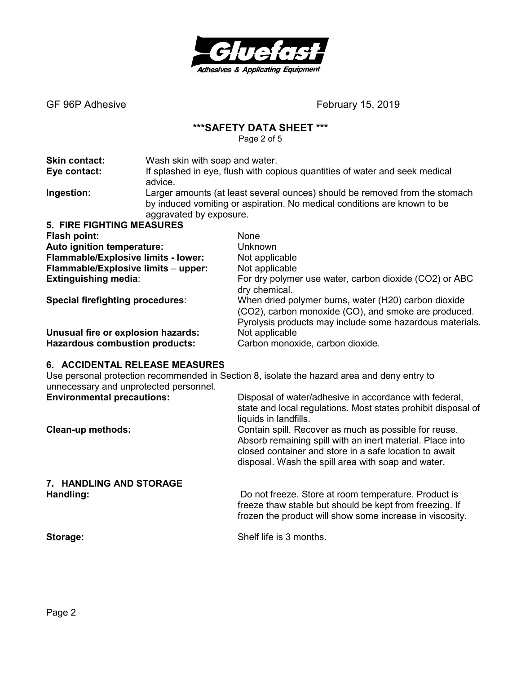

# **\*\*\*SAFETY DATA SHEET \*\*\***

Page 2 of 5

| <b>Skin contact:</b><br>Eye contact:    | Wash skin with soap and water.                                           | If splashed in eye, flush with copious quantities of water and seek medical                                  |
|-----------------------------------------|--------------------------------------------------------------------------|--------------------------------------------------------------------------------------------------------------|
| Ingestion:                              | advice.                                                                  | Larger amounts (at least several ounces) should be removed from the stomach                                  |
|                                         | by induced vomiting or aspiration. No medical conditions are known to be |                                                                                                              |
|                                         | aggravated by exposure.                                                  |                                                                                                              |
| <b>5. FIRE FIGHTING MEASURES</b>        |                                                                          |                                                                                                              |
| Flash point:                            |                                                                          | <b>None</b>                                                                                                  |
| Auto ignition temperature:              |                                                                          | Unknown                                                                                                      |
| Flammable/Explosive limits - lower:     |                                                                          | Not applicable                                                                                               |
| Flammable/Explosive limits - upper:     |                                                                          | Not applicable                                                                                               |
| <b>Extinguishing media:</b>             |                                                                          | For dry polymer use water, carbon dioxide (CO2) or ABC<br>dry chemical.                                      |
| <b>Special firefighting procedures:</b> |                                                                          | When dried polymer burns, water (H20) carbon dioxide<br>(CO2), carbon monoxide (CO), and smoke are produced. |
|                                         |                                                                          | Pyrolysis products may include some hazardous materials.                                                     |
| Unusual fire or explosion hazards:      |                                                                          | Not applicable                                                                                               |
| <b>Hazardous combustion products:</b>   |                                                                          | Carbon monoxide, carbon dioxide.                                                                             |

# **6. ACCIDENTAL RELEASE MEASURES**

Use personal protection recommended in Section 8, isolate the hazard area and deny entry to unnecessary and unprotected personnel.

| <b>Environmental precautions:</b> | Disposal of water/adhesive in accordance with federal,<br>state and local regulations. Most states prohibit disposal of<br>liquids in landfills.                                                                                   |
|-----------------------------------|------------------------------------------------------------------------------------------------------------------------------------------------------------------------------------------------------------------------------------|
| <b>Clean-up methods:</b>          | Contain spill. Recover as much as possible for reuse.<br>Absorb remaining spill with an inert material. Place into<br>closed container and store in a safe location to await<br>disposal. Wash the spill area with soap and water. |
| 7. HANDLING AND STORAGE           |                                                                                                                                                                                                                                    |
| Handling:                         | Do not freeze. Store at room temperature. Product is<br>freeze thaw stable but should be kept from freezing. If<br>frozen the product will show some increase in viscosity.                                                        |

**Storage: Storage: Shelf life is 3 months.**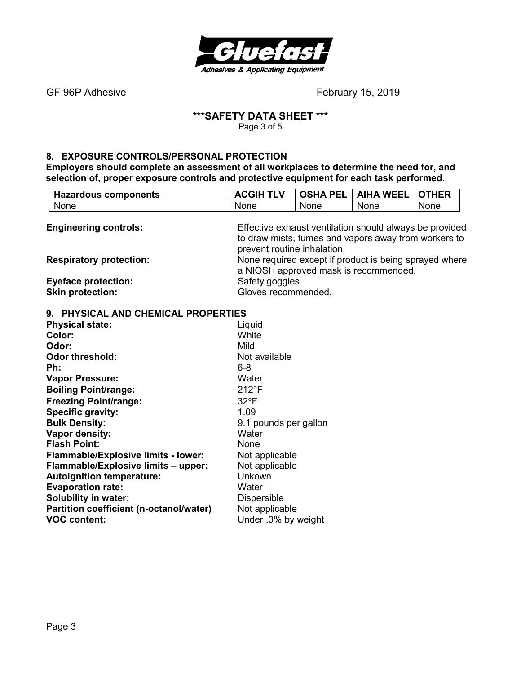

# **\*\*\*SAFETY DATA SHEET \*\*\***

Page 3 of 5

# **8. EXPOSURE CONTROLS/PERSONAL PROTECTION**

**Partition coefficient (n-octanol/water)** Not applicable<br>**VOC content:** Under .3% by \

**Employers should complete an assessment of all workplaces to determine the need for, and selection of, proper exposure controls and protective equipment for each task performed.** 

| <b>Hazardous components</b>         | <b>ACGIH TLV</b>            | <b>OSHA PEL</b> | <b>AIHA WEEL</b>                                                                                                | <b>OTHER</b> |
|-------------------------------------|-----------------------------|-----------------|-----------------------------------------------------------------------------------------------------------------|--------------|
| None                                | None                        | None            | None                                                                                                            | None         |
| <b>Engineering controls:</b>        | prevent routine inhalation. |                 | Effective exhaust ventilation should always be provided<br>to draw mists, fumes and vapors away from workers to |              |
| <b>Respiratory protection:</b>      |                             |                 | None required except if product is being sprayed where<br>a NIOSH approved mask is recommended.                 |              |
| <b>Eyeface protection:</b>          | Safety goggles.             |                 |                                                                                                                 |              |
| <b>Skin protection:</b>             | Gloves recommended.         |                 |                                                                                                                 |              |
| 9. PHYSICAL AND CHEMICAL PROPERTIES |                             |                 |                                                                                                                 |              |
| <b>Physical state:</b>              | Liquid                      |                 |                                                                                                                 |              |
| Color:                              | White                       |                 |                                                                                                                 |              |
| Odor:                               | Mild                        |                 |                                                                                                                 |              |
| <b>Odor threshold:</b>              | Not available               |                 |                                                                                                                 |              |
| Ph:                                 | $6 - 8$                     |                 |                                                                                                                 |              |
| <b>Vapor Pressure:</b>              | Water                       |                 |                                                                                                                 |              |
| <b>Boiling Point/range:</b>         | $212^{\circ}F$              |                 |                                                                                                                 |              |
| <b>Freezing Point/range:</b>        | $32^{\circ}F$               |                 |                                                                                                                 |              |
| <b>Specific gravity:</b>            | 1.09                        |                 |                                                                                                                 |              |
| <b>Bulk Density:</b>                | 9.1 pounds per gallon       |                 |                                                                                                                 |              |
| Vapor density:                      | Water                       |                 |                                                                                                                 |              |
| <b>Flash Point:</b>                 | None                        |                 |                                                                                                                 |              |
| Flammable/Explosive limits - lower: | Not applicable              |                 |                                                                                                                 |              |
| Flammable/Explosive limits - upper: | Not applicable              |                 |                                                                                                                 |              |
| <b>Autoignition temperature:</b>    | Unkown                      |                 |                                                                                                                 |              |
| <b>Evaporation rate:</b>            | Water                       |                 |                                                                                                                 |              |
| <b>Solubility in water:</b>         | <b>Dispersible</b>          |                 |                                                                                                                 |              |

Under .3% by weight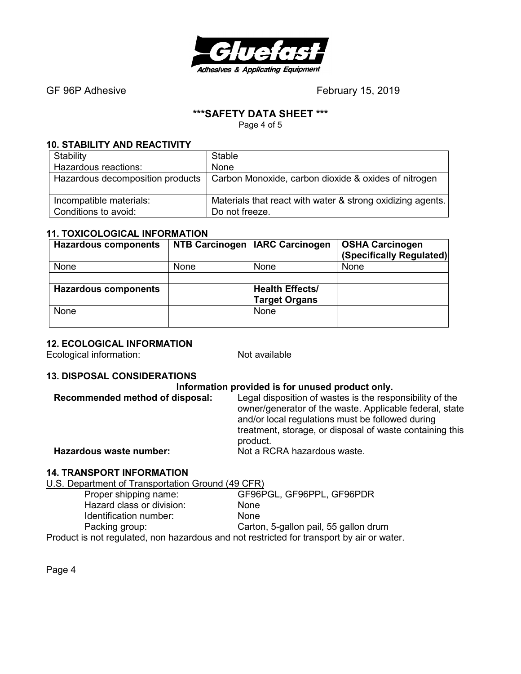

# **\*\*\*SAFETY DATA SHEET \*\*\***

Page 4 of 5

#### **10. STABILITY AND REACTIVITY**

| Stability               | <b>Stable</b>                                                                           |
|-------------------------|-----------------------------------------------------------------------------------------|
| Hazardous reactions:    | None                                                                                    |
|                         | Hazardous decomposition products   Carbon Monoxide, carbon dioxide & oxides of nitrogen |
| Incompatible materials: | Materials that react with water & strong oxidizing agents.                              |
| Conditions to avoid:    | Do not freeze.                                                                          |

# **11. TOXICOLOGICAL INFORMATION**

| <b>Hazardous components</b> |             | NTB Carcinogen   IARC Carcinogen | <b>OSHA Carcinogen</b><br>(Specifically Regulated) |
|-----------------------------|-------------|----------------------------------|----------------------------------------------------|
|                             |             |                                  |                                                    |
| None                        | <b>None</b> | None                             | None                                               |
|                             |             |                                  |                                                    |
| <b>Hazardous components</b> |             | <b>Health Effects/</b>           |                                                    |
|                             |             | <b>Target Organs</b>             |                                                    |
| None                        |             | None                             |                                                    |
|                             |             |                                  |                                                    |

# **12. ECOLOGICAL INFORMATION**

Ecological information: Not available

# **13. DISPOSAL CONSIDERATIONS**

#### **Information provided is for unused product only.**

| Recommended method of disposal: | Legal disposition of wastes is the responsibility of the<br>owner/generator of the waste. Applicable federal, state<br>and/or local regulations must be followed during<br>treatment, storage, or disposal of waste containing this |
|---------------------------------|-------------------------------------------------------------------------------------------------------------------------------------------------------------------------------------------------------------------------------------|
| Hazardous waste number:         | product.<br>Not a RCRA hazardous waste.                                                                                                                                                                                             |
|                                 |                                                                                                                                                                                                                                     |

# **14. TRANSPORT INFORMATION**

U.S. Department of Transportation Ground (49 CFR)

| Proper shipping name:                                                                     | GF96PGL, GF96PPL, GF96PDR             |
|-------------------------------------------------------------------------------------------|---------------------------------------|
| Hazard class or division:                                                                 | <b>None</b>                           |
| Identification number:                                                                    | <b>None</b>                           |
| Packing group:                                                                            | Carton, 5-gallon pail, 55 gallon drum |
| Product is not regulated, non hazardous and not restricted for transport by air or water. |                                       |

Page 4